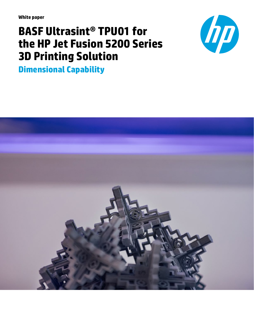**White paper**

# **BASF Ultrasint® TPU01 for the HP Jet Fusion 5200 Series 3D Printing Solution**



**Dimensional Capability**

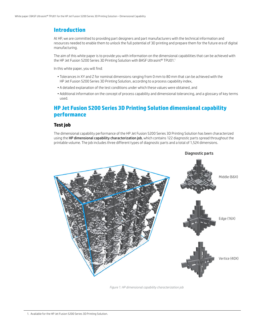## **Introduction**

At HP, we are committed to providing part designers and part manufacturers with the technical information and resources needed to enable them to unlock the full potential of 3D printing and prepare them for the future era of digital manufacturing.

The aim of this white paper is to provide you with information on the dimensional capabilities that can be achieved with the HP Jet Fusion 5200 Series 3D Printing Solution with BASF Ultrasint® TPU01.<sup>1</sup>

In this white paper, you will find:

- Tolerances in XY and Z for nominal dimensions ranging from 0 mm to 80 mm that can be achieved with the HP Jet Fusion 5200 Series 3D Printing Solution, according to a process capability index,
- A detailed explanation of the test conditions under which these values were obtained, and
- Additional information on the concept of process capability and dimensional tolerancing, and a glossary of key terms used.

## **HP Jet Fusion 5200 Series 3D Printing Solution dimensional capability performance**

#### **Test job**

The dimensional capability performance of the HP Jet Fusion 5200 Series 3D Printing Solution has been characterized using the HP dimensional capability characterization job, which contains 122 diagnostic parts spread throughout the printable volume. The job includes three different types of diagnostic parts and a total of 1,524 dimensions.



*Figure 1. HP dimensional capability characterization job*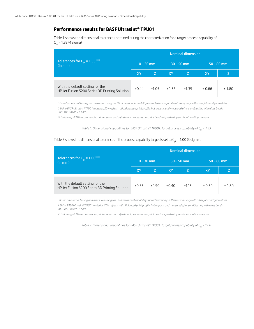### **Performance results for BASF Ultrasint® TPU01**

Table 1 shows the dimensional tolerances obtained during the characterization for a target process capability of  $C_{nk} = 1.33$  (4 sigma).

|                                                                                    | <b>Nominal dimension</b> |             |       |              |              |        |  |  |  |  |  |
|------------------------------------------------------------------------------------|--------------------------|-------------|-------|--------------|--------------|--------|--|--|--|--|--|
| Tolerances for $C_{nk} = 1.33^{\text{ii iii}}$<br>(in mm)                          |                          | $0 - 30$ mm |       | $30 - 50$ mm | $50 - 80$ mm |        |  |  |  |  |  |
|                                                                                    | XY                       | Z           | XY    | Z            | XY.          |        |  |  |  |  |  |
| With the default setting for the<br>HP Jet Fusion 5200 Series 3D Printing Solution | ±0.44                    | ±1.05       | ±0.52 | ±1.35        | ± 0.66       | ± 1.80 |  |  |  |  |  |

*i. Based on internal testing and measured using the HP dimensional capability characterization job. Results may vary with other jobs and geometries. ii. Using BASF Ultrasint® TPU01 material, 20% refresh ratio, Balanced print profile, hot unpack, and measured after sandblasting with glass beads 300-400 µm at 5-6 bars.*

*iii. Following all HP-recommended printer setup and adjustment processes and print heads aligned using semi-automatic procedure.*

*Table 1. Dimensional capabilities for BASF Ultrasint® TPU01. Target process capability of C<sub>pk</sub> = 1.33.* 

### Table 2 shows the dimensional tolerances if the process capability target is set to  $C_{pk}$  = 1.00 (3 sigma).

|                                                                                                                                                      | <b>Nominal dimension</b> |             |       |              |              |        |  |  |  |  |  |  |
|------------------------------------------------------------------------------------------------------------------------------------------------------|--------------------------|-------------|-------|--------------|--------------|--------|--|--|--|--|--|--|
| Tolerances for $C_{nk} = 1.00^{nmin}$<br>(in mm)                                                                                                     |                          | $0 - 30$ mm |       | $30 - 50$ mm | $50 - 80$ mm |        |  |  |  |  |  |  |
|                                                                                                                                                      | XY                       | Z           | XY    | Z            | XY           | Z      |  |  |  |  |  |  |
| With the default setting for the<br>HP Jet Fusion 5200 Series 3D Printing Solution                                                                   | ±0.35                    | ±0.90       | ±0.40 | ±1.15        | ± 0.50       | ± 1.50 |  |  |  |  |  |  |
| i. Based on internal testing and measured using the HP dimensional capability characterization job. Results may vary with other jobs and geometries. |                          |             |       |              |              |        |  |  |  |  |  |  |

*ii. Using BASF Ultrasint® TPU01 material, 20% refresh ratio, Balanced print profile, hot unpack, and measured after sandblasting with glass beads 300-400 µm at 5-6 bars.*

*iii. Following all HP-recommended printer setup and adjustment processes and print heads aligned using semi-automatic procedure.*

*Table 2. Dimensional capabilities for BASF Ultrasint® TPU01. Target process capability of*  $C_{pk}$  *= 1.00.*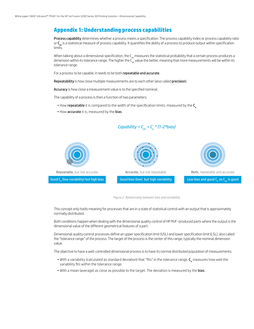## **Appendix 1: Understanding process capabilities**

Process capability determines whether a process meets a specification. The process capability index or process capability ratio or  $C_{nk}$  is a statistical measure of process capability. It quantifies the ability of a process to produce output within specification limits.

When talking about a dimensional specification, the C<sub>nk</sub> measures the statistical probability that a certain process produces a dimension within its tolerance range. The higher the  $C_{nk}$  value the better, meaning that more measurements will be within its tolerance range.

For a process to be capable, it needs to be both repeatable and accurate.

Repeatability is how close multiple measurements are to each other (also called precision).

Accuracy is how close a measurement value is to the specified nominal.

The capability of a process is then a function of two parameters:

- How repeatable it is compared to the width of the specification limits, measured by the C<sub>n</sub>
- How accurate it is, measured by the bias



*Figure 2. Relationship between bias and variability*

This concept only holds meaning for processes that are in a state of statistical control with an output that is approximately normally distributed.

Both conditions happen when dealing with the dimensional quality control of HP MJF–produced parts where the output is the dimensional value of the different geometrical features of a part.

Dimensional quality control processes define an upper specification limit (USL) and lower specification limit (LSL), also called the "tolerance range" of the process. The target of the process is the center of this range, typically the nominal dimension value.

The objective to have a well-controlled dimensional process is to have its normal distributed population of measurements:

- $\bullet$  With a variability (calculated as standard deviation) that "fits" in the tolerance range.  $\sf C_p$  measures how well the variability fits within the tolerance range.
- With a mean (average) as close as possible to the target. The deviation is measured by the bias.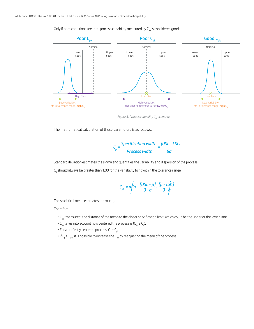Only if both conditions are met, process capability measured by  $C_{\text{pk}}$  is considered good:



*Figure 3. Process capability C<sub>nk</sub> scenarios* 

The mathematical calculation of these parameters is as follows:

$$
C_p = \frac{Specification \; width}{Process \; width} = \frac{(USL - LSL)}{6\sigma}
$$

Standard deviation estimates the sigma and quantifies the variability and dispersion of the process.

 $\mathsf{C}_\mathsf{p}$  should always be greater than 1.00 for the variability to fit within the tolerance range.

$$
C_{pk} = m \left\{ \frac{[USL - \mu]}{3 \cdot \sigma} \frac{[\mu - LSL]{J}}{3 \cdot \phi} \right\}
$$

The statistical mean estimates the mu  $(\mu)$ .

Therefore:

- $\cdot C_{\rm pk}$  "measures" the distance of the mean to the closer specification limit, which could be the upper or the lower limit.
- $C_{\rm pk}$  takes into account how centered the process is ( $C_{\rm pk} \leq C_{\rm pb}$ ).
- For a perfectly centered process,  $C_p = C_{pk}$ .
- $\bullet$  If C<sub>p</sub> > C<sub>pk</sub>, it is possible to increase the C<sub>pk</sub> by readjusting the mean of the process.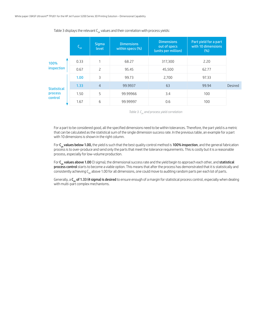|                    | $C_{\rm pk}$   | <b>Sigma</b><br>level | <b>Dimensions</b><br>within specs (%) | <b>Dimensions</b><br>out of specs<br>(units per million) | Part yield for a part<br>with 10 dimensions<br>(% ) |         |
|--------------------|----------------|-----------------------|---------------------------------------|----------------------------------------------------------|-----------------------------------------------------|---------|
| 100%               | 0.33           | h                     | 68.27                                 | 317,300                                                  | 2.20                                                |         |
| inspection<br>0.67 | $\overline{c}$ | 95.45                 | 45,500                                | 62.77                                                    |                                                     |         |
|                    | 1.00           | 3                     | 99.73                                 | 2,700                                                    | 97.33                                               |         |
| <b>Statistical</b> | 1.33           | $\overline{4}$        | 99.9937                               | 63                                                       | 99.94                                               | Desired |
| process            | 1.50           | 5                     | 99.99966                              | 3.4                                                      | 100                                                 |         |
| control            | 1.67           | 6                     | 99.99997                              | 0.6                                                      | 100                                                 |         |

Table 3 displays the relevant  $C_{nk}$  values and their correlation with process yields:

Table 3. C<sub>pk</sub> and process yield correlation

For a part to be considered good, all the specified dimensions need to be within tolerances. Therefore, the part yield is a metric that can be calculated as the statistical sum of the single dimension success rate. In the previous table, an example for a part with 10 dimensions is shown in the right column.

For  $C_{\alpha k}$  values below 1.00, the yield is such that the best quality control method is 100% inspection, and the general fabrication process is to over-produce and send only the parts that meet the tolerance requirements. This is costly but it is a reasonable process, especially for low-volume production.

For  $C_{\alpha k}$  values above 1.00 (3 sigma), the dimensional success rate and the yield begin to approach each other, and statistical process control starts to become a viable option. This means that after the process has demonstrated that it is statistically and consistently achieving  $C_{nk}$  above 1.00 for all dimensions, one could move to auditing random parts per each lot of parts.

Generally, a C<sub>nk</sub> of 1.33 (4 sigma) is desired to ensure enough of a margin for statistical process control, especially when dealing with multi-part complex mechanisms.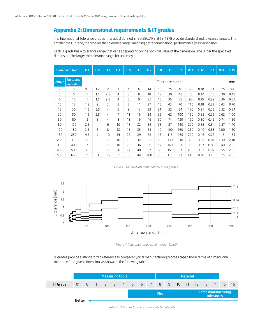## **Appendix 2: Dimensional requirements & IT grades**

The International Tolerance grades (IT grades) defined in ISO 286/ANSI B4.2-1978 provide standardized tolerance ranges. The smaller the IT grade, the smaller the tolerance range, meaning better dimensional performance (less variability).

Each IT grade has a tolerance range that varies depending on the nominal value of the dimension. The larger the specified dimension, the larger the tolerance range for accuracy.

|                          | Dimension (mm)         | IT1                      | IT <sub>2</sub> | IT3            | IT4            | IT5 | IT <sub>6</sub> | IT7 | IT <sub>8</sub> | IT <sub>9</sub>  | <b>IT10</b> | IT11 | <b>IT12</b> | <b>IT13</b> | <b>IT14</b> | <b>IT15</b> |  |  |
|--------------------------|------------------------|--------------------------|-----------------|----------------|----------------|-----|-----------------|-----|-----------------|------------------|-------------|------|-------------|-------------|-------------|-------------|--|--|
| Above                    | Up to and<br>including |                          |                 |                |                |     | μm              |     |                 | Tolerance ranges |             | mm   |             |             |             |             |  |  |
| $\overline{\phantom{a}}$ | 3                      | 0.8                      | 1.2             | $\overline{c}$ | 3              | 4   | 6               | 14  | 10              | 25               | 40          | 60   | 0.10        | 0.14        | 0.25        | 0.4         |  |  |
| 3                        | 6                      | 1                        | 1.5             | 2.5            | 4              | 5   | 8               | 18  | 12              | 30               | 48          | 75   | 0.12        | 0.18        | 0.30        | 0.48        |  |  |
| 6                        | 10                     | 1                        | 1.5             | 2.5            | 4              | 6   | 9               | 22  | 15              | 36               | 58          | 90   | 0.15        | 0.22        | 0.36        | 0.58        |  |  |
| 10                       | 18                     | 1.2                      | 2               | 3              | 5              | 8   | 11              | 27  | 18              | 43               | 70          | 110  | 0.18        | 0.27        | 0.43        | 0.70        |  |  |
| 18                       | 30                     | 1.5                      | 2.5             | 4              | 6              | 9   | 13              | 33  | 21              | 52               | 84          | 130  | 0.21        | 0.33        | 0.52        | 0.84        |  |  |
| 30                       | 50                     | 1.5                      | 2.5             | 4              | $\overline{7}$ | 11  | 16              | 39  | 25              | 62               | 100         | 160  | 0.25        | 0.39        | 0.62        | 1.00        |  |  |
| 50                       | 80                     | $\overline{\phantom{0}}$ | 3               | 4              | 8              | 13  | 19              | 46  | 30              | 74               | 120         | 190  | 0.30        | 0.46        | 0.74        | 1.20        |  |  |
| 80                       | 120                    | 2.5                      | 4               | 6              | 10             | 15  | 22              | 54  | 35              | 87               | 140         | 220  | 0.35        | 0.54        | 0.87        | 1.40        |  |  |
| 120                      | 180                    | 3.5                      | 5               | 8              | 12             | 18  | 25              | 63  | 40              | 100              | 160         | 250  | 0.40        | 0.63        | 1.00        | 1.60        |  |  |
| 180                      | 250                    | 4.5                      | 7               | 10             | 14             | 22  | 29              | 72  | 46              | 115              | 185         | 290  | 0.46        | 0.72        | 1.15        | 1.85        |  |  |
| 250                      | 315                    | 6                        | 8               | 12             | 16             | 23  | 32              | 81  | 52              | 130              | 210         | 320  | 0.52        | 0.81        | 1.30        | 2.10        |  |  |
| 315                      | 400                    | $\overline{7}$           | 9               | 13             | 18             | 25  | 36              | 89  | 57              | 140              | 230         | 360  | 0.57        | 0.89        | 1.40        | 2.30        |  |  |
| 400                      | 500                    | 8                        | 10              | 15             | 20             | 27  | 40              | 97  | 63              | 155              | 250         | 400  | 0.63        | 0.97        | 1.55        | 2.50        |  |  |
| 500                      | 630                    | 9                        | 11              | 16             | 22             | 32  | 44              | 100 | 70              | 175              | 280         | 440  | 0.70        | 1.10        | 1.75        | 2.80        |  |  |

*Table 4. Standard international tolerance grades*



*Figure 4. Tolerance range vs. dimension length*

IT grades provide a standardized reference to compare typical manufacturing process capability in terms of dimensional tolerance for a given dimension, as shown in the following table.

|                 | Measuring tools |  |  |  |  |                                          |  |                                                  |  |  | <b>Material</b> |  |  |  |  |  |  |      |
|-----------------|-----------------|--|--|--|--|------------------------------------------|--|--------------------------------------------------|--|--|-----------------|--|--|--|--|--|--|------|
| <b>IT Grade</b> |                 |  |  |  |  | 01 0 1 2 3 4 5 6 7 8 9 10 11 12 13 14 15 |  |                                                  |  |  |                 |  |  |  |  |  |  | - 16 |
|                 |                 |  |  |  |  |                                          |  | Large manufacturing<br><b>Fits</b><br>tolerances |  |  |                 |  |  |  |  |  |  |      |
|                 | Better          |  |  |  |  |                                          |  |                                                  |  |  |                 |  |  |  |  |  |  |      |

*Table 5. IT Grades for measuring tools & materials*